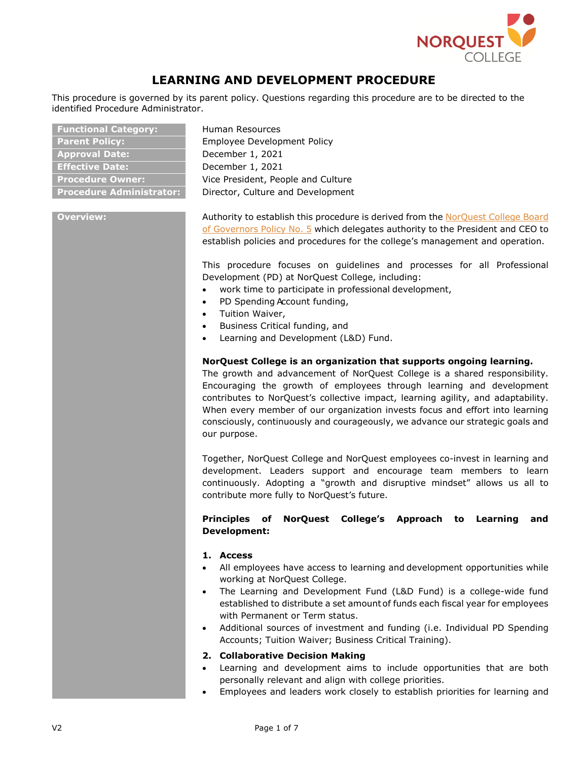

# **LEARNING AND DEVELOPMENT PROCEDURE**

This procedure is governed by its parent policy. Questions regarding this procedure are to be directed to the identified Procedure Administrator.

| <b>Functional Category:</b>    |
|--------------------------------|
| <b>Parent Policy:</b>          |
| <b>Approval Date:</b>          |
| <b>Effective Date:</b>         |
| <b>Procedure Owner:</b>        |
| <b>Procedure Administrator</b> |

**Functional Category:** Human Resources **Parent Policy:** Employee Development Policy **Approval Date:** December 1, 2021 **Effective Date:** December 1, 2021 Vice President, People and Culture **Pirector, Culture and Development** 

**Overview:** Authority to establish this procedure is derived from the [NorQuest](https://www.norquest.ca/NorquestCollege/media/pdf/about-us/board/policies-procedures/05-Board-Policy_Delegate_authority_to_President.pdf) College Board of [Governors](https://www.norquest.ca/NorquestCollege/media/pdf/about-us/board/policies-procedures/05-Board-Policy_Delegate_authority_to_President.pdf) Policy No. 5 which delegates authority to the President and CEO to establish policies and procedures for the college's management and operation.

> This procedure focuses on guidelines and processes for all Professional Development (PD) at NorQuest College, including:

- work time to participate in professional development,
- PD Spending Account funding,
- Tuition Waiver,
- Business Critical funding, and
- Learning and Development (L&D) Fund.

### **NorQuest College is an organization that supports ongoing learning.**

The growth and advancement of NorQuest College is a shared responsibility. Encouraging the growth of employees through learning and development contributes to NorQuest's collective impact, learning agility, and adaptability. When every member of our organization invests focus and effort into learning consciously, continuously and courageously, we advance our strategic goals and our purpose.

Together, NorQuest College and NorQuest employees co-invest in learning and development. Leaders support and encourage team members to learn continuously. Adopting a "growth and disruptive mindset" allows us all to contribute more fully to NorQuest's future.

# **Principles of NorQuest College's Approach to Learning and Development:**

### **1. Access**

- All employees have access to learning and development opportunities while working at NorQuest College.
- The Learning and Development Fund (L&D Fund) is a college-wide fund established to distribute a set amount of funds each fiscal year for employees with Permanent or Term status.
- Additional sources of investment and funding (i.e. Individual PD Spending Accounts; Tuition Waiver; Business Critical Training).

### **2. Collaborative Decision Making**

- Learning and development aims to include opportunities that are both personally relevant and align with college priorities.
- Employees and leaders work closely to establish priorities for learning and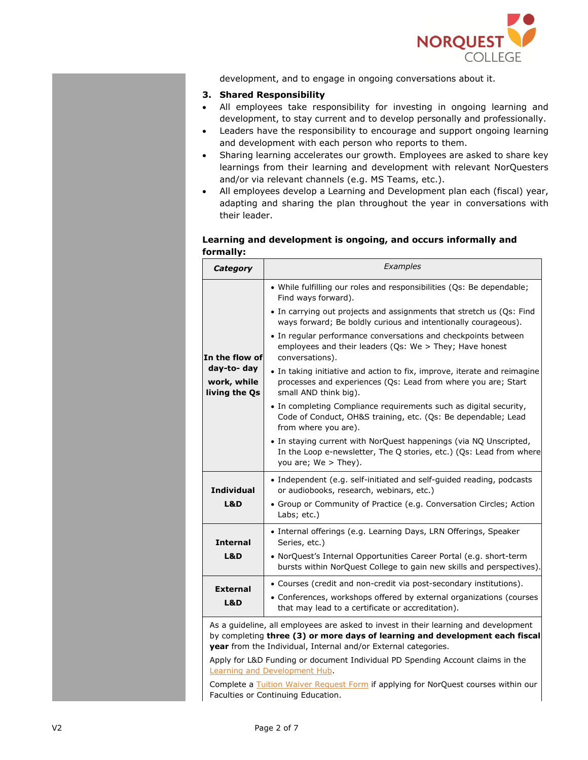

development, and to engage in ongoing conversations about it.

# **3. Shared Responsibility**

- All employees take responsibility for investing in ongoing learning and development, to stay current and to develop personally and professionally.
- Leaders have the responsibility to encourage and support ongoing learning and development with each person who reports to them.
- Sharing learning accelerates our growth. Employees are asked to share key learnings from their learning and development with relevant NorQuesters and/or via relevant channels (e.g. MS Teams, etc.).
- All employees develop a Learning and Development plan each (fiscal) year, adapting and sharing the plan throughout the year in conversations with their leader.

# **Learning and development is ongoing, and occurs informally and formally:**

| Category                                    | Examples                                                                                                                                                           |
|---------------------------------------------|--------------------------------------------------------------------------------------------------------------------------------------------------------------------|
|                                             | • While fulfilling our roles and responsibilities (Qs: Be dependable;<br>Find ways forward).                                                                       |
|                                             | • In carrying out projects and assignments that stretch us (Qs: Find<br>ways forward; Be boldly curious and intentionally courageous).                             |
| In the flow of                              | • In regular performance conversations and checkpoints between<br>employees and their leaders (Qs: We > They; Have honest<br>conversations).                       |
| day-to- day<br>work, while<br>living the Qs | • In taking initiative and action to fix, improve, iterate and reimagine<br>processes and experiences (Qs: Lead from where you are; Start<br>small AND think big). |
|                                             | • In completing Compliance requirements such as digital security,<br>Code of Conduct, OH&S training, etc. (Qs: Be dependable; Lead<br>from where you are).         |
|                                             | • In staying current with NorQuest happenings (via NQ Unscripted,<br>In the Loop e-newsletter, The Q stories, etc.) (Qs: Lead from where<br>you are; We > They).   |
| <b>Individual</b>                           | • Independent (e.g. self-initiated and self-guided reading, podcasts<br>or audiobooks, research, webinars, etc.)                                                   |
| L&D                                         | • Group or Community of Practice (e.g. Conversation Circles; Action<br>Labs; etc.)                                                                                 |
| <b>Internal</b>                             | • Internal offerings (e.g. Learning Days, LRN Offerings, Speaker<br>Series, etc.)                                                                                  |
| L&D                                         | • NorQuest's Internal Opportunities Career Portal (e.g. short-term<br>bursts within NorQuest College to gain new skills and perspectives).                         |
| <b>External</b>                             | • Courses (credit and non-credit via post-secondary institutions).                                                                                                 |
| L&D                                         | • Conferences, workshops offered by external organizations (courses<br>that may lead to a certificate or accreditation).                                           |
|                                             | As a guideline, all employees are asked to invest in their learning and development                                                                                |
|                                             | by completing three (3) or more days of learning and development each fiscal<br>year from the Individual, Internal and/or External categories.                     |
|                                             | Apply for L&D Funding or document Individual PD Spending Account claims in the                                                                                     |
|                                             | Learning and Development Hub.                                                                                                                                      |
|                                             | Complete a Tuition Waiver Request Form if applying for NorQuest courses within our<br>Faculties or Continuing Education.                                           |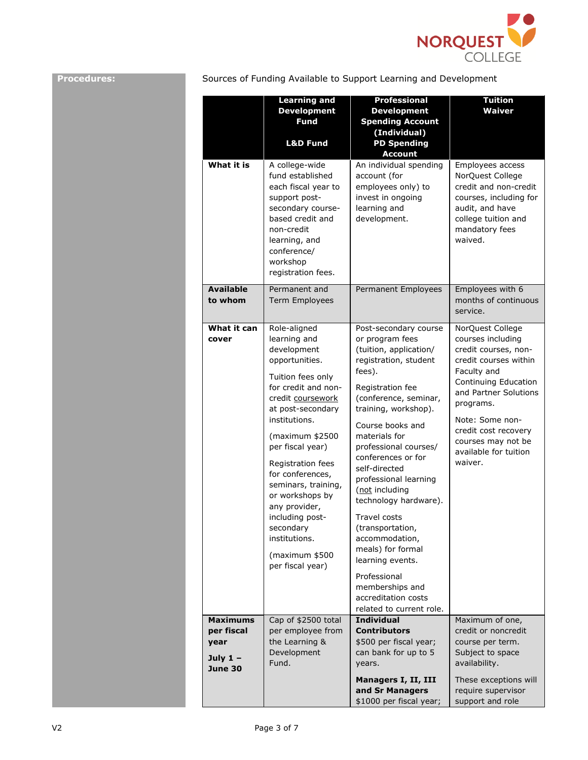

**Procedures:** Sources of Funding Available to Support Learning and Development

|                                                                       | <b>Learning and</b><br><b>Development</b><br><b>Fund</b><br><b>L&amp;D Fund</b>                                                                                                                                                                                                                                                                                                                        | <b>Professional</b><br><b>Development</b><br><b>Spending Account</b><br>(Individual)<br><b>PD Spending</b><br><b>Account</b>                                                                                                                                                                                                                                                                                                                                                                                                                    | <b>Tuition</b><br><b>Waiver</b>                                                                                                                                                                                                                                          |
|-----------------------------------------------------------------------|--------------------------------------------------------------------------------------------------------------------------------------------------------------------------------------------------------------------------------------------------------------------------------------------------------------------------------------------------------------------------------------------------------|-------------------------------------------------------------------------------------------------------------------------------------------------------------------------------------------------------------------------------------------------------------------------------------------------------------------------------------------------------------------------------------------------------------------------------------------------------------------------------------------------------------------------------------------------|--------------------------------------------------------------------------------------------------------------------------------------------------------------------------------------------------------------------------------------------------------------------------|
| What it is                                                            | A college-wide<br>fund established<br>each fiscal year to<br>support post-<br>secondary course-<br>based credit and<br>non-credit<br>learning, and<br>conference/<br>workshop<br>registration fees.                                                                                                                                                                                                    | An individual spending<br>account (for<br>employees only) to<br>invest in ongoing<br>learning and<br>development.                                                                                                                                                                                                                                                                                                                                                                                                                               | Employees access<br>NorQuest College<br>credit and non-credit<br>courses, including for<br>audit, and have<br>college tuition and<br>mandatory fees<br>waived.                                                                                                           |
| <b>Available</b><br>to whom                                           | Permanent and<br><b>Term Employees</b>                                                                                                                                                                                                                                                                                                                                                                 | Permanent Employees                                                                                                                                                                                                                                                                                                                                                                                                                                                                                                                             | Employees with 6<br>months of continuous<br>service.                                                                                                                                                                                                                     |
| What it can<br>cover                                                  | Role-aligned<br>learning and<br>development<br>opportunities.<br>Tuition fees only<br>for credit and non-<br>credit coursework<br>at post-secondary<br>institutions.<br>(maximum \$2500<br>per fiscal year)<br>Registration fees<br>for conferences,<br>seminars, training,<br>or workshops by<br>any provider,<br>including post-<br>secondary<br>institutions.<br>(maximum \$500<br>per fiscal year) | Post-secondary course<br>or program fees<br>(tuition, application/<br>registration, student<br>fees).<br>Registration fee<br>(conference, seminar,<br>training, workshop).<br>Course books and<br>materials for<br>professional courses/<br>conferences or for<br>self-directed<br>professional learning<br>(not including<br>technology hardware).<br><b>Travel costs</b><br>(transportation,<br>accommodation,<br>meals) for formal<br>learning events.<br>Professional<br>memberships and<br>accreditation costs<br>related to current role. | NorQuest College<br>courses including<br>credit courses, non-<br>credit courses within<br>Faculty and<br>Continuing Education<br>and Partner Solutions<br>programs.<br>Note: Some non-<br>credit cost recovery<br>courses may not be<br>available for tuition<br>waiver. |
| <b>Maximums</b><br>per fiscal<br>year<br>July $1 -$<br><b>June 30</b> | Cap of \$2500 total<br>per employee from<br>the Learning &<br>Development<br>Fund.                                                                                                                                                                                                                                                                                                                     | <b>Individual</b><br><b>Contributors</b><br>\$500 per fiscal year;<br>can bank for up to 5<br>years.                                                                                                                                                                                                                                                                                                                                                                                                                                            | Maximum of one,<br>credit or noncredit<br>course per term.<br>Subject to space<br>availability.                                                                                                                                                                          |
|                                                                       |                                                                                                                                                                                                                                                                                                                                                                                                        | Managers I, II, III<br>and Sr Managers<br>\$1000 per fiscal year;                                                                                                                                                                                                                                                                                                                                                                                                                                                                               | These exceptions will<br>require supervisor<br>support and role                                                                                                                                                                                                          |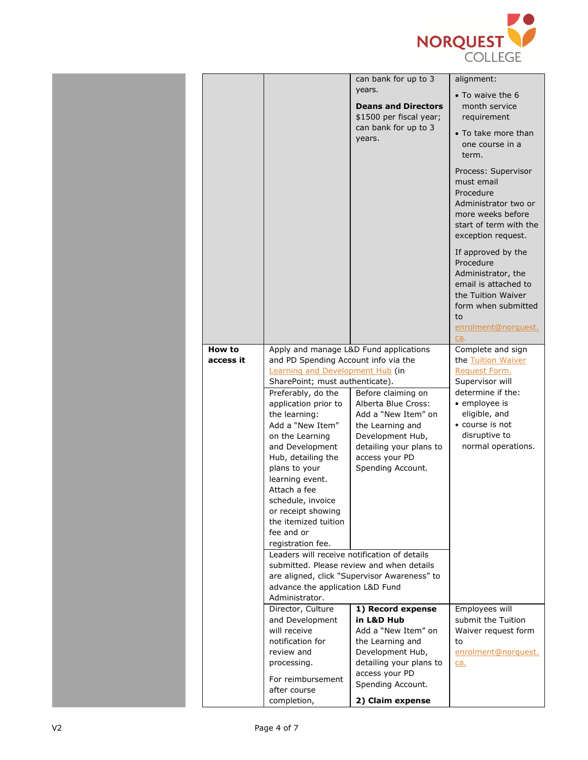

|           |                                                                     | can bank for up to 3                                                                              | alignment:                                                                                                                                                     |
|-----------|---------------------------------------------------------------------|---------------------------------------------------------------------------------------------------|----------------------------------------------------------------------------------------------------------------------------------------------------------------|
|           |                                                                     | years.<br><b>Deans and Directors</b><br>\$1500 per fiscal year;<br>can bank for up to 3<br>years. | • To waive the 6<br>month service<br>requirement<br>• To take more than<br>one course in a<br>term.                                                            |
|           |                                                                     |                                                                                                   | Process: Supervisor<br>must email<br>Procedure<br>Administrator two or<br>more weeks before<br>start of term with the<br>exception request.                    |
|           |                                                                     |                                                                                                   | If approved by the<br>Procedure<br>Administrator, the<br>email is attached to<br>the Tuition Waiver<br>form when submitted<br>to<br>enrolment@norquest.<br>ca. |
| How to    | Apply and manage L&D Fund applications                              |                                                                                                   | Complete and sign                                                                                                                                              |
| access it | and PD Spending Account info via the                                |                                                                                                   | the Tuition Waiver                                                                                                                                             |
|           | Learning and Development Hub (in<br>SharePoint; must authenticate). |                                                                                                   | Request Form.<br>Supervisor will                                                                                                                               |
|           | Preferably, do the                                                  | Before claiming on                                                                                | determine if the:                                                                                                                                              |
|           | application prior to                                                | Alberta Blue Cross:                                                                               | • employee is                                                                                                                                                  |
|           | the learning:                                                       | Add a "New Item" on                                                                               | eligible, and                                                                                                                                                  |
|           | Add a "New Item"                                                    | the Learning and                                                                                  | • course is not                                                                                                                                                |
|           | on the Learning<br>and Development                                  | Development Hub,<br>detailing your plans to                                                       | disruptive to<br>normal operations.                                                                                                                            |
|           | Hub, detailing the                                                  | access your PD                                                                                    |                                                                                                                                                                |
|           | plans to your                                                       | Spending Account.                                                                                 |                                                                                                                                                                |
|           | learning event.                                                     |                                                                                                   |                                                                                                                                                                |
|           | Attach a fee                                                        |                                                                                                   |                                                                                                                                                                |
|           | schedule, invoice<br>or receipt showing                             |                                                                                                   |                                                                                                                                                                |
|           | the itemized tuition                                                |                                                                                                   |                                                                                                                                                                |
|           | fee and or                                                          |                                                                                                   |                                                                                                                                                                |
|           | registration fee.<br>Leaders will receive notification of details   |                                                                                                   |                                                                                                                                                                |
|           |                                                                     | submitted. Please review and when details                                                         |                                                                                                                                                                |
|           |                                                                     | are aligned, click "Supervisor Awareness" to                                                      |                                                                                                                                                                |
|           | advance the application L&D Fund                                    |                                                                                                   |                                                                                                                                                                |
|           | Administrator.                                                      | 1) Record expense                                                                                 | Employees will                                                                                                                                                 |
|           | Director, Culture<br>and Development                                | in L&D Hub                                                                                        | submit the Tuition                                                                                                                                             |
|           | will receive                                                        | Add a "New Item" on                                                                               | Waiver request form                                                                                                                                            |
|           | notification for                                                    | the Learning and                                                                                  | to                                                                                                                                                             |
|           | review and                                                          | Development Hub,<br>detailing your plans to                                                       | enrolment@norquest.                                                                                                                                            |
|           | processing.                                                         | access your PD                                                                                    | <u>ca.</u>                                                                                                                                                     |
|           | For reimbursement<br>after course                                   | Spending Account.                                                                                 |                                                                                                                                                                |
|           | completion,                                                         | 2) Claim expense                                                                                  |                                                                                                                                                                |
|           |                                                                     |                                                                                                   |                                                                                                                                                                |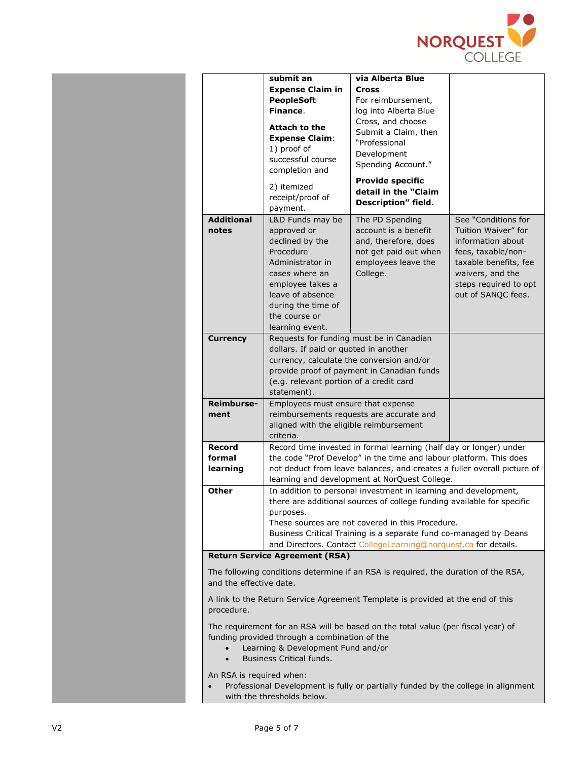

|                                                                                                                                                                                                     | submit an<br><b>Expense Claim in</b><br><b>PeopleSoft</b><br>Finance.<br><b>Attach to the</b><br><b>Expense Claim:</b><br>1) proof of<br>successful course<br>completion and                                                                                                                                                                       | via Alberta Blue<br><b>Cross</b><br>For reimbursement,<br>log into Alberta Blue<br>Cross, and choose<br>Submit a Claim, then<br>"Professional<br>Development<br>Spending Account."<br><b>Provide specific</b> |                                                                                                                                                                                   |
|-----------------------------------------------------------------------------------------------------------------------------------------------------------------------------------------------------|----------------------------------------------------------------------------------------------------------------------------------------------------------------------------------------------------------------------------------------------------------------------------------------------------------------------------------------------------|---------------------------------------------------------------------------------------------------------------------------------------------------------------------------------------------------------------|-----------------------------------------------------------------------------------------------------------------------------------------------------------------------------------|
|                                                                                                                                                                                                     | 2) itemized<br>receipt/proof of<br>payment.                                                                                                                                                                                                                                                                                                        | detail in the "Claim<br>Description" field.                                                                                                                                                                   |                                                                                                                                                                                   |
| <b>Additional</b><br>notes                                                                                                                                                                          | L&D Funds may be<br>approved or<br>declined by the<br>Procedure<br>Administrator in<br>cases where an<br>employee takes a<br>leave of absence<br>during the time of<br>the course or<br>learning event.                                                                                                                                            | The PD Spending<br>account is a benefit<br>and, therefore, does<br>not get paid out when<br>employees leave the<br>College.                                                                                   | See "Conditions for<br>Tuition Waiver" for<br>information about<br>fees, taxable/non-<br>taxable benefits, fee<br>waivers, and the<br>steps required to opt<br>out of SANQC fees. |
| <b>Currency</b>                                                                                                                                                                                     | Requests for funding must be in Canadian<br>dollars. If paid or quoted in another<br>currency, calculate the conversion and/or<br>provide proof of payment in Canadian funds<br>(e.g. relevant portion of a credit card<br>statement).                                                                                                             |                                                                                                                                                                                                               |                                                                                                                                                                                   |
| Reimburse-<br>ment                                                                                                                                                                                  | Employees must ensure that expense<br>aligned with the eligible reimbursement<br>criteria.                                                                                                                                                                                                                                                         | reimbursements requests are accurate and                                                                                                                                                                      |                                                                                                                                                                                   |
| Record<br>formal<br>learning                                                                                                                                                                        | Record time invested in formal learning (half day or longer) under<br>the code "Prof Develop" in the time and labour platform. This does<br>not deduct from leave balances, and creates a fuller overall picture of<br>learning and development at NorQuest College.                                                                               |                                                                                                                                                                                                               |                                                                                                                                                                                   |
| Other                                                                                                                                                                                               | In addition to personal investment in learning and development,<br>there are additional sources of college funding available for specific<br>purposes.<br>These sources are not covered in this Procedure.<br>Business Critical Training is a separate fund co-managed by Deans<br>and Directors. Contact CollegeLearning@norguest.ca for details. |                                                                                                                                                                                                               |                                                                                                                                                                                   |
|                                                                                                                                                                                                     | <b>Return Service Agreement (RSA)</b>                                                                                                                                                                                                                                                                                                              | The following conditions determine if an RSA is required, the duration of the RSA,                                                                                                                            |                                                                                                                                                                                   |
| and the effective date.                                                                                                                                                                             |                                                                                                                                                                                                                                                                                                                                                    |                                                                                                                                                                                                               |                                                                                                                                                                                   |
| A link to the Return Service Agreement Template is provided at the end of this<br>procedure.                                                                                                        |                                                                                                                                                                                                                                                                                                                                                    |                                                                                                                                                                                                               |                                                                                                                                                                                   |
| The requirement for an RSA will be based on the total value (per fiscal year) of<br>funding provided through a combination of the<br>Learning & Development Fund and/or<br>Business Critical funds. |                                                                                                                                                                                                                                                                                                                                                    |                                                                                                                                                                                                               |                                                                                                                                                                                   |
| An RSA is required when:<br>Professional Development is fully or partially funded by the college in alignment<br>with the thresholds below.                                                         |                                                                                                                                                                                                                                                                                                                                                    |                                                                                                                                                                                                               |                                                                                                                                                                                   |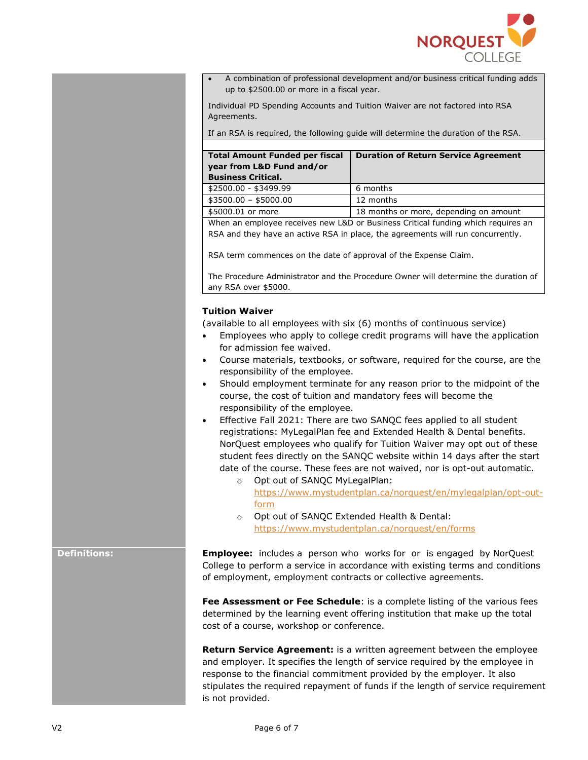

• A combination of professional development and/or business critical funding adds up to \$2500.00 or more in a fiscal year.

Individual PD Spending Accounts and Tuition Waiver are not factored into RSA Agreements.

If an RSA is required, the following guide will determine the duration of the RSA.

| <b>Total Amount Funded per fiscal</b><br>year from L&D Fund and/or<br><b>Business Critical.</b> | <b>Duration of Return Service Agreement</b> |
|-------------------------------------------------------------------------------------------------|---------------------------------------------|
| \$2500.00 - \$3499.99                                                                           | 6 months                                    |
| $$3500.00 - $5000.00$                                                                           | 12 months                                   |
| \$5000.01 or more                                                                               | 18 months or more, depending on amount      |

• When an employee receives new L&D or Business Critical funding which requires an RSA and they have an active RSA in place, the agreements will run concurrently.

RSA term commences on the date of approval of the Expense Claim.

• The Procedure Administrator and the Procedure Owner will determine the duration of any RSA over \$5000.

#### **Tuition Waiver**

(available to all employees with six (6) months of continuous service)

- Employees who apply to college credit programs will have the application for admission fee waived.
- Course materials, textbooks, or software, required for the course, are the responsibility of the employee.
- Should employment terminate for any reason prior to the midpoint of the course, the cost of tuition and mandatory fees will become the responsibility of the employee.
- Effective Fall 2021: There are two SANQC fees applied to all student registrations: MyLegalPlan fee and Extended Health & Dental benefits. NorQuest employees who qualify for Tuition Waiver may opt out of these student fees directly on the SANQC website within 14 days after the start date of the course. These fees are not waived, nor is opt-out automatic.
	- o Opt out of SANQC MyLegalPlan: [https://www.mystudentplan.ca/norquest/en/mylegalplan/opt-out](https://www.mystudentplan.ca/norquest/en/mylegalplan/opt-out-form)[form](https://www.mystudentplan.ca/norquest/en/mylegalplan/opt-out-form)
	- o Opt out of SANQC Extended Health & Dental: <https://www.mystudentplan.ca/norquest/en/forms>

**Definitions: Employee:** includes a person who works for or is engaged by NorQuest College to perform a service in accordance with existing terms and conditions of employment, employment contracts or collective agreements.

> **Fee Assessment or Fee Schedule**: is a complete listing of the various fees determined by the learning event offering institution that make up the total cost of a course, workshop or conference.

**Return Service Agreement:** is a written agreement between the employee and employer. It specifies the length of service required by the employee in response to the financial commitment provided by the employer. It also stipulates the required repayment of funds if the length of service requirement is not provided.